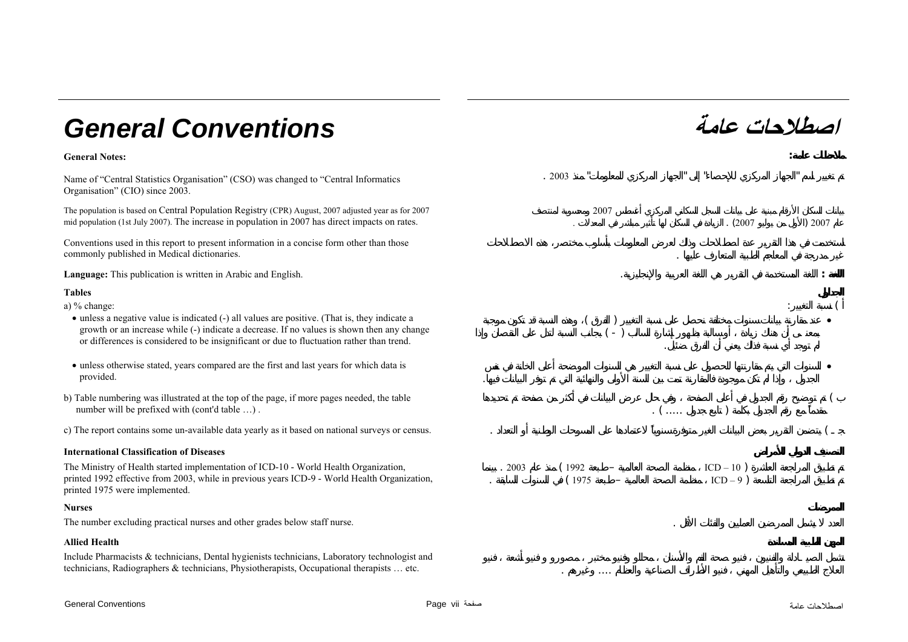# **عامة** *Conventions General*

Name of "Central Statistics Organisation" (CSO) was changed to "Central Informatics Organisation" (CIO) since 2003.

The population is based on Central Population Registry (CPR) August, 2007 adjusted year as for 2007 mid population (1st July 2007). The increase in population in 2007 has direct impacts on rates.

Conventions used in this report to present information in a concise form other than those commonly published in Medical dictionaries. .

**Language:** This publication is written in Arabic and English. . **:**

### **Tables**

a) % change:

- unless a negative value is indicated (-) all values are positive. (That is, they indicate a growth or an increase while (-) indicate a decrease. If no values is shown then any change or differences is considered to be insignificant or due to fluctuation rather than trend.
- unless otherwise stated, years compared are the first and last years for which data is provided.
- b) Table numbering was illustrated at the top of the page, if more pages needed, the table number will be prefixed with (cont'd table ...).

c) The report contains some un-available data yearly as it based on national surveys or census. . (

### **International Classification of Diseases**

The Ministry of Health started implementation of ICD-10 - World Health Organization, printed 1992 effective from 2003, while in previous years ICD-9 - World Health Organization, printed 1975 were implemented.

#### **Nurses**

The number excluding practical nurses and other grades below staff nurse. .

### **Allied Health**

Include Pharmacists & technicians, Dental hygienists technicians, Laboratory technologist and technicians, Radiographers & technicians, Physiotherapists, Occupational therapists … etc. . ....